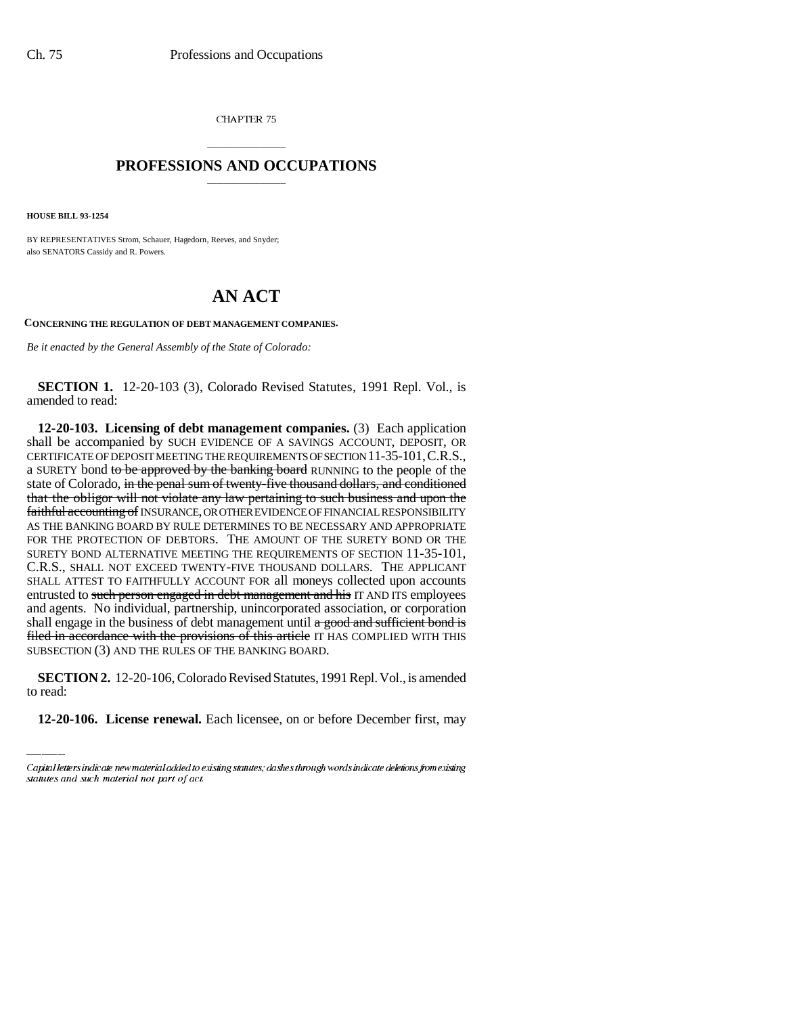CHAPTER 75

## \_\_\_\_\_\_\_\_\_\_\_\_\_\_\_ **PROFESSIONS AND OCCUPATIONS** \_\_\_\_\_\_\_\_\_\_\_\_\_\_\_

**HOUSE BILL 93-1254**

BY REPRESENTATIVES Strom, Schauer, Hagedorn, Reeves, and Snyder; also SENATORS Cassidy and R. Powers.

## **AN ACT**

**CONCERNING THE REGULATION OF DEBT MANAGEMENT COMPANIES.**

*Be it enacted by the General Assembly of the State of Colorado:*

**SECTION 1.** 12-20-103 (3), Colorado Revised Statutes, 1991 Repl. Vol., is amended to read:

SUBSECTION (3) AND THE RULES OF THE BANKING BOARD. **12-20-103. Licensing of debt management companies.** (3) Each application shall be accompanied by SUCH EVIDENCE OF A SAVINGS ACCOUNT, DEPOSIT, OR CERTIFICATE OF DEPOSIT MEETING THE REQUIREMENTS OF SECTION 11-35-101,C.R.S., a SURETY bond to be approved by the banking board RUNNING to the people of the state of Colorado, in the penal sum of twenty-five thousand dollars, and conditioned that the obligor will not violate any law pertaining to such business and upon the faithful accounting of INSURANCE, OR OTHER EVIDENCE OF FINANCIAL RESPONSIBILITY AS THE BANKING BOARD BY RULE DETERMINES TO BE NECESSARY AND APPROPRIATE FOR THE PROTECTION OF DEBTORS. THE AMOUNT OF THE SURETY BOND OR THE SURETY BOND ALTERNATIVE MEETING THE REQUIREMENTS OF SECTION 11-35-101, C.R.S., SHALL NOT EXCEED TWENTY-FIVE THOUSAND DOLLARS. THE APPLICANT SHALL ATTEST TO FAITHFULLY ACCOUNT FOR all moneys collected upon accounts entrusted to such person engaged in debt management and his IT AND ITS employees and agents. No individual, partnership, unincorporated association, or corporation shall engage in the business of debt management until  $\alpha$  good and sufficient bond is filed in accordance with the provisions of this article IT HAS COMPLIED WITH THIS

**SECTION 2.** 12-20-106, Colorado Revised Statutes, 1991 Repl. Vol., is amended to read:

**12-20-106. License renewal.** Each licensee, on or before December first, may

Capital letters indicate new material added to existing statutes; dashes through words indicate deletions from existing statutes and such material not part of act.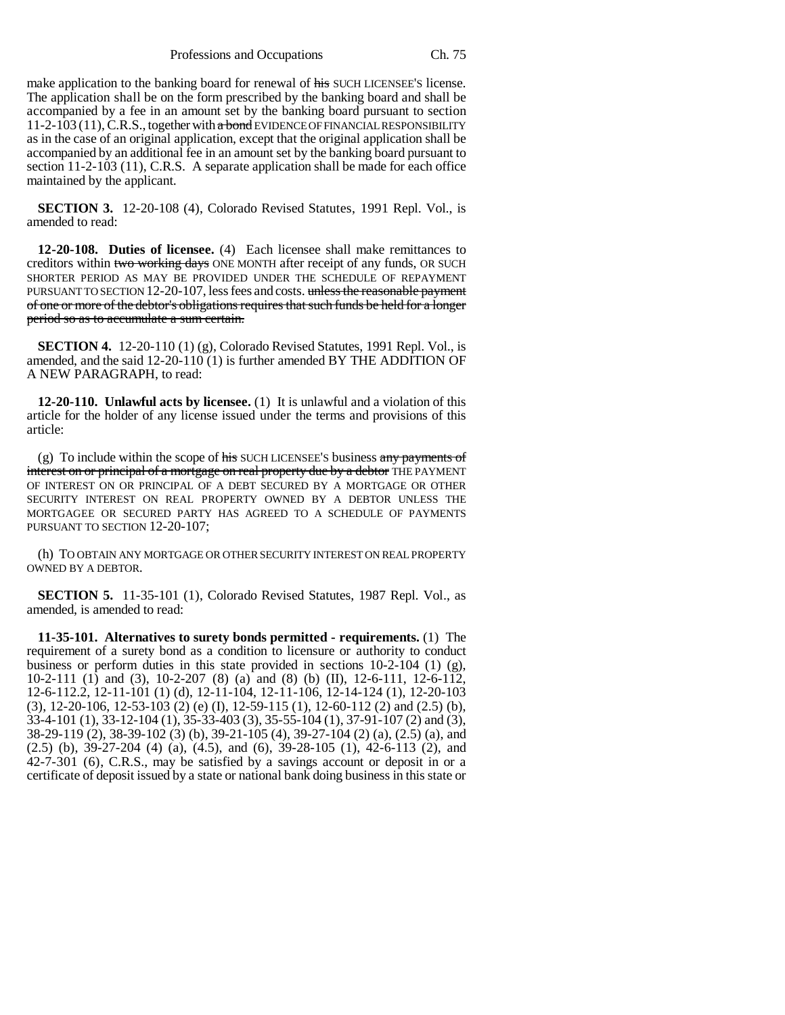Professions and Occupations Ch. 75

make application to the banking board for renewal of his SUCH LICENSEE'S license. The application shall be on the form prescribed by the banking board and shall be accompanied by a fee in an amount set by the banking board pursuant to section  $11-2-103(11)$ , C.R.S., together with a bond EVIDENCE OF FINANCIAL RESPONSIBILITY as in the case of an original application, except that the original application shall be accompanied by an additional fee in an amount set by the banking board pursuant to section 11-2-103 (11), C.R.S. A separate application shall be made for each office maintained by the applicant.

**SECTION 3.** 12-20-108 (4), Colorado Revised Statutes, 1991 Repl. Vol., is amended to read:

**12-20-108. Duties of licensee.** (4) Each licensee shall make remittances to creditors within two working days ONE MONTH after receipt of any funds, OR SUCH SHORTER PERIOD AS MAY BE PROVIDED UNDER THE SCHEDULE OF REPAYMENT PURSUANT TO SECTION 12-20-107, less fees and costs. unless the reasonable payment of one or more of the debtor's obligations requires that such funds be held for a longer period so as to accumulate a sum certain.

**SECTION 4.** 12-20-110 (1) (g), Colorado Revised Statutes, 1991 Repl. Vol., is amended, and the said 12-20-110 (1) is further amended BY THE ADDITION OF A NEW PARAGRAPH, to read:

**12-20-110. Unlawful acts by licensee.** (1) It is unlawful and a violation of this article for the holder of any license issued under the terms and provisions of this article:

(g) To include within the scope of  $\frac{1}{100}$  SUCH LICENSEE's business any payments of interest on or principal of a mortgage on real property due by a debtor THE PAYMENT OF INTEREST ON OR PRINCIPAL OF A DEBT SECURED BY A MORTGAGE OR OTHER SECURITY INTEREST ON REAL PROPERTY OWNED BY A DEBTOR UNLESS THE MORTGAGEE OR SECURED PARTY HAS AGREED TO A SCHEDULE OF PAYMENTS PURSUANT TO SECTION 12-20-107;

(h) TO OBTAIN ANY MORTGAGE OR OTHER SECURITY INTEREST ON REAL PROPERTY OWNED BY A DEBTOR.

**SECTION 5.** 11-35-101 (1), Colorado Revised Statutes, 1987 Repl. Vol., as amended, is amended to read:

**11-35-101. Alternatives to surety bonds permitted - requirements.** (1) The requirement of a surety bond as a condition to licensure or authority to conduct business or perform duties in this state provided in sections  $10-2-104$  (1) (g), 10-2-111 (1) and (3), 10-2-207 (8) (a) and (8) (b) (II), 12-6-111, 12-6-112, 12-6-112.2, 12-11-101 (1) (d), 12-11-104, 12-11-106, 12-14-124 (1), 12-20-103 (3), 12-20-106, 12-53-103 (2) (e) (I), 12-59-115 (1), 12-60-112 (2) and (2.5) (b), 33-4-101 (1), 33-12-104 (1), 35-33-403 (3), 35-55-104 (1), 37-91-107 (2) and (3), 38-29-119 (2), 38-39-102 (3) (b), 39-21-105 (4), 39-27-104 (2) (a), (2.5) (a), and (2.5) (b), 39-27-204 (4) (a), (4.5), and (6), 39-28-105 (1), 42-6-113 (2), and 42-7-301 (6), C.R.S., may be satisfied by a savings account or deposit in or a certificate of deposit issued by a state or national bank doing business in this state or